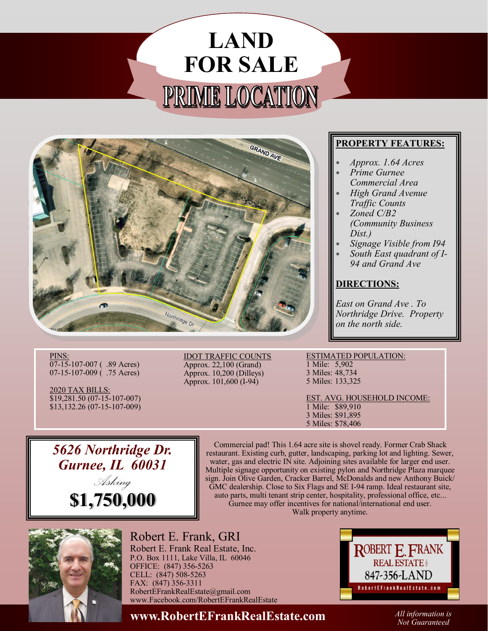## **LAND FOR SALE** PRIME LOCATION



## **PROPERTY FEATURES:**

- *Approx. 1.64 Acres*
- *Prime Gurnee Commercial Area*
- *High Grand Avenue Traffic Counts*
- *Zoned C/B2 (Community Business Dist.)*
- *Signage Visible from I94*
- *South East quadrant of I-94 and Grand Ave*

## **DIRECTIONS:**

*East on Grand Ave . To Northridge Drive. Property on the north side.*

PINS: 07-15-107-007 ( .89 Acres) 07-15-107-009 ( .75 Acres)

2020 TAX BILLS: \$19,281.50 (07-15-107-007) \$13,132.26 (07-15-107-009) IDOT TRAFFIC COUNTS Approx. 22,100 (Grand) Approx. 10,200 (Dilleys) Approx. 101,600 (I-94)

ESTIMATED POPULATION: 1 Mile: 5,902

3 Miles: 48,734 5 Miles: 133,325

EST. AVG. HOUSEHOLD INCOME: 1 Mile: \$89,910 3 Miles: \$91,895 5 Miles: \$78,406

*5626 Northridge Dr. Gurnee, IL 60031 Asking* **\$1,750,000**

Commercial pad! This 1.64 acre site is shovel ready. Former Crab Shack restaurant. Existing curb, gutter, landscaping, parking lot and lighting. Sewer, water, gas and electric IN site. Adjoining sites available for larger end user. Multiple signage opportunity on existing pylon and Northridge Plaza marquee sign. Join Olive Garden, Cracker Barrel, McDonalds and new Anthony Buick/ GMC dealership. Close to Six Flags and SE I-94 ramp. Ideal restaurant site, auto parts, multi tenant strip center, hospitality, professional office, etc... Gurnee may offer incentives for national/international end user. Walk property anytime.



Robert E. Frank, GRI

Robert E. Frank Real Estate, Inc. P.O. Box 1111, Lake Villa, IL 60046 OFFICE: (847) 356-5263 CELL: (847) 508-5263 FAX: (847) 356-3311 RobertEFrankRealEstate@gmail.com www.Facebook.com/RobertEFrankRealEstate ROBERT E. FRANK **REAL ESTATE** 847-356-LAND Robert E Frank Real Estate.com

**www.RobertEFrankRealEstate.com** *All information is* 

*Not Guaranteed*